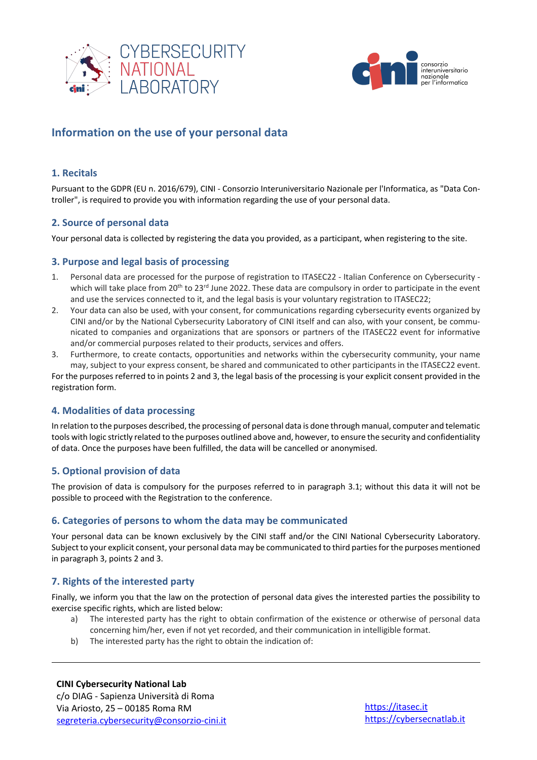



# **Information on the use of your personal data**

## **1. Recitals**

Pursuant to the GDPR (EU n. 2016/679), CINI - Consorzio Interuniversitario Nazionale per l'Informatica, as "Data Controller", is required to provide you with information regarding the use of your personal data.

## **2. Source of personal data**

Your personal data is collected by registering the data you provided, as a participant, when registering to the site.

#### **3. Purpose and legal basis of processing**

- 1. Personal data are processed for the purpose of registration to ITASEC22 Italian Conference on Cybersecurity which will take place from 20<sup>th</sup> to 23<sup>rd</sup> June 2022. These data are compulsory in order to participate in the event and use the services connected to it, and the legal basis is your voluntary registration to ITASEC22;
- 2. Your data can also be used, with your consent, for communications regarding cybersecurity events organized by CINI and/or by the National Cybersecurity Laboratory of CINI itself and can also, with your consent, be communicated to companies and organizations that are sponsors or partners of the ITASEC22 event for informative and/or commercial purposes related to their products, services and offers.
- 3. Furthermore, to create contacts, opportunities and networks within the cybersecurity community, your name may, subject to your express consent, be shared and communicated to other participants in the ITASEC22 event.

For the purposes referred to in points 2 and 3, the legal basis of the processing is your explicit consent provided in the registration form.

## **4. Modalities of data processing**

In relation to the purposes described, the processing of personal data is done through manual, computer and telematic tools with logic strictly related to the purposes outlined above and, however, to ensure the security and confidentiality of data. Once the purposes have been fulfilled, the data will be cancelled or anonymised.

#### **5. Optional provision of data**

The provision of data is compulsory for the purposes referred to in paragraph 3.1; without this data it will not be possible to proceed with the Registration to the conference.

#### **6. Categories of persons to whom the data may be communicated**

Your personal data can be known exclusively by the CINI staff and/or the CINI National Cybersecurity Laboratory. Subject to your explicit consent, your personal data may be communicated to third parties for the purposes mentioned in paragraph 3, points 2 and 3.

## **7. Rights of the interested party**

Finally, we inform you that the law on the protection of personal data gives the interested parties the possibility to exercise specific rights, which are listed below:

- a) The interested party has the right to obtain confirmation of the existence or otherwise of personal data concerning him/her, even if not yet recorded, and their communication in intelligible format.
- b) The interested party has the right to obtain the indication of: